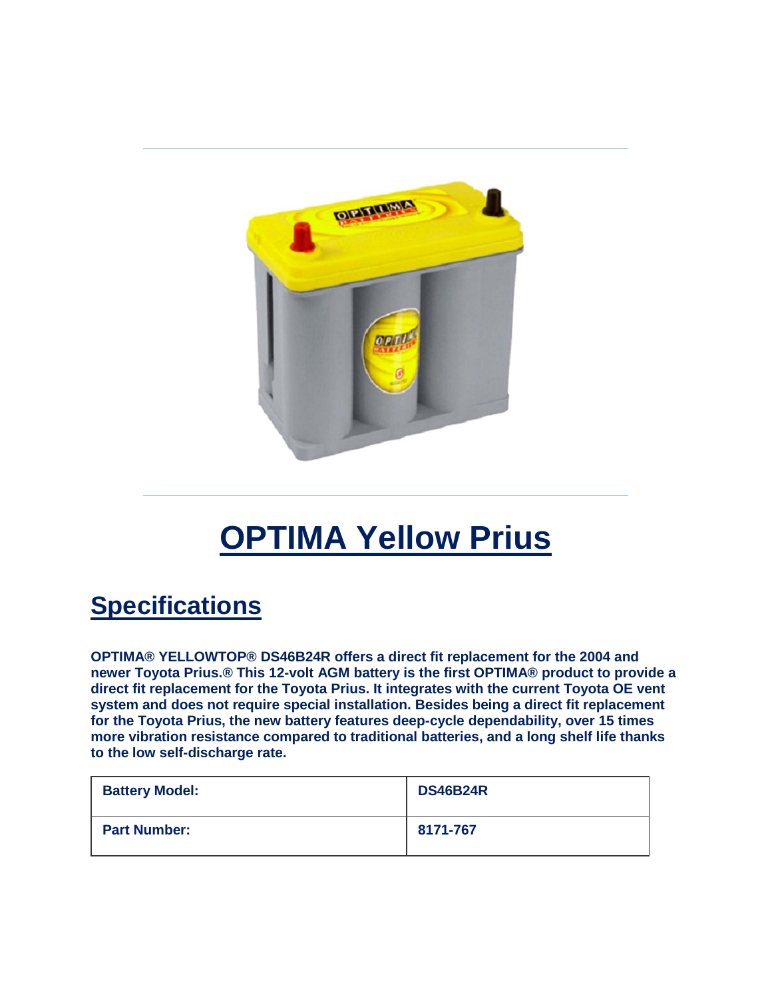

## **OPTIMA Yellow Prius**

## **Specifications**

**OPTIMA® YELLOWTOP® DS46B24R offers a direct fit replacement for the 2004 and newer Toyota Prius.® This 12-volt AGM battery is the first OPTIMA® product to provide a direct fit replacement for the Toyota Prius. It integrates with the current Toyota OE vent system and does not require special installation. Besides being a direct fit replacement for the Toyota Prius, the new battery features deep-cycle dependability, over 15 times more vibration resistance compared to traditional batteries, and a long shelf life thanks to the low self-discharge rate.**

| <b>Battery Model:</b> | <b>DS46B24R</b> |
|-----------------------|-----------------|
| <b>Part Number:</b>   | 8171-767        |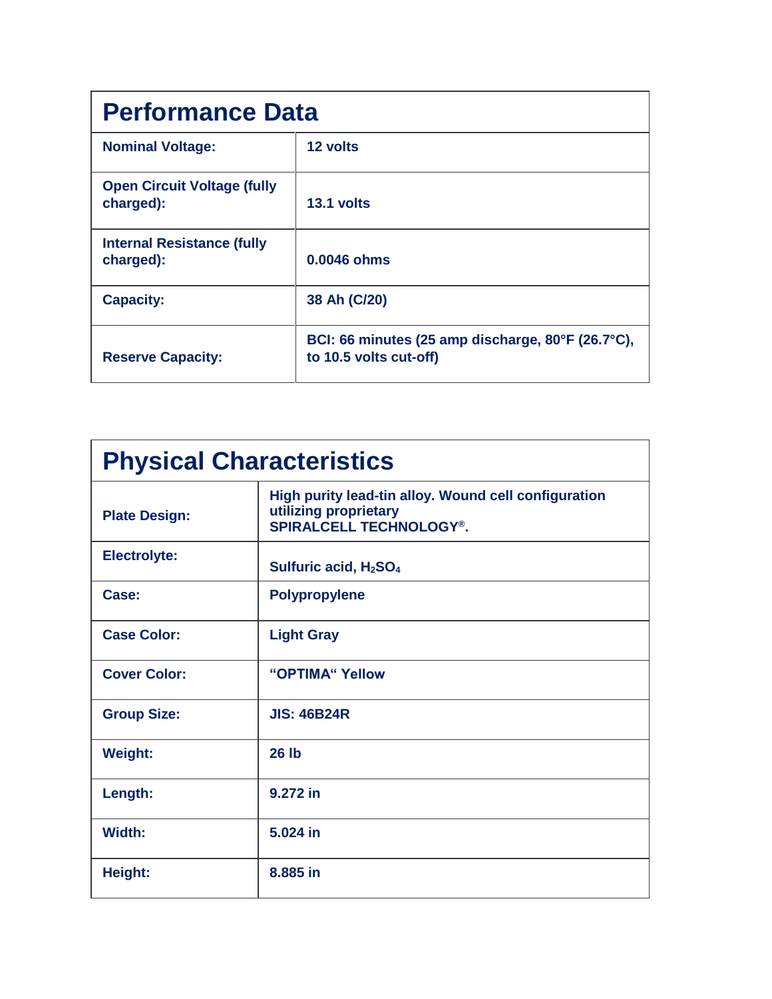| <b>Performance Data</b>                         |                                                                             |  |
|-------------------------------------------------|-----------------------------------------------------------------------------|--|
| <b>Nominal Voltage:</b>                         | 12 volts                                                                    |  |
| <b>Open Circuit Voltage (fully</b><br>charged): | 13.1 volts                                                                  |  |
| <b>Internal Resistance (fully</b><br>charged):  | 0.0046 ohms                                                                 |  |
| <b>Capacity:</b>                                | 38 Ah (C/20)                                                                |  |
| <b>Reserve Capacity:</b>                        | BCI: 66 minutes (25 amp discharge, 80°F (26.7°C),<br>to 10.5 volts cut-off) |  |

| <b>Physical Characteristics</b> |                                                                                                                 |  |
|---------------------------------|-----------------------------------------------------------------------------------------------------------------|--|
| <b>Plate Design:</b>            | High purity lead-tin alloy. Wound cell configuration<br>utilizing proprietary<br><b>SPIRALCELL TECHNOLOGY®.</b> |  |
| <b>Electrolyte:</b>             | Sulfuric acid, H <sub>2</sub> SO <sub>4</sub>                                                                   |  |
| Case:                           | <b>Polypropylene</b>                                                                                            |  |
| <b>Case Color:</b>              | <b>Light Gray</b>                                                                                               |  |
| <b>Cover Color:</b>             | "OPTIMA" Yellow                                                                                                 |  |
| <b>Group Size:</b>              | <b>JIS: 46B24R</b>                                                                                              |  |
| <b>Weight:</b>                  | <b>26 lb</b>                                                                                                    |  |
| Length:                         | 9.272 in                                                                                                        |  |
| Width:                          | 5.024 in                                                                                                        |  |
| Height:                         | 8,885 in                                                                                                        |  |